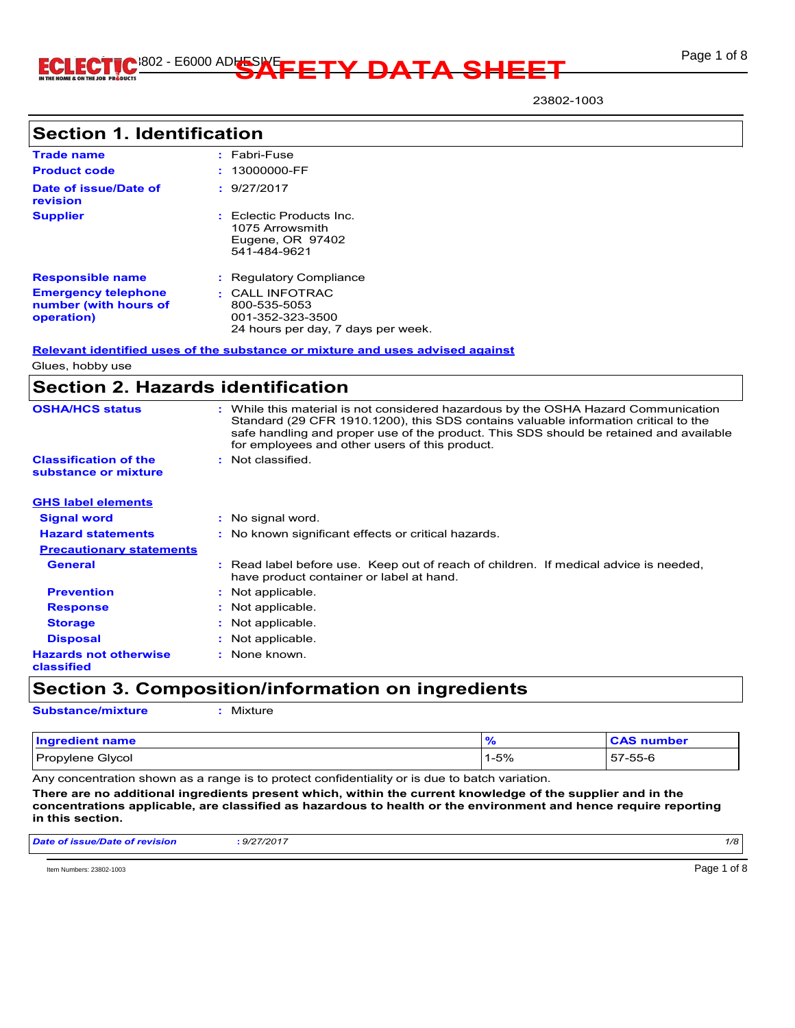

23802-1003

| <b>Section 1. Identification</b>                                  |                                                                                                                                                                                                                                                                                                                       |
|-------------------------------------------------------------------|-----------------------------------------------------------------------------------------------------------------------------------------------------------------------------------------------------------------------------------------------------------------------------------------------------------------------|
| <b>Trade name</b>                                                 | : Fabri-Fuse                                                                                                                                                                                                                                                                                                          |
| <b>Product code</b>                                               | 13000000-FF                                                                                                                                                                                                                                                                                                           |
| Date of issue/Date of<br>revision                                 | : 9/27/2017                                                                                                                                                                                                                                                                                                           |
| <b>Supplier</b>                                                   | Eclectic Products Inc.<br>1075 Arrowsmith<br>Eugene, OR 97402<br>541-484-9621                                                                                                                                                                                                                                         |
| <b>Responsible name</b>                                           | : Regulatory Compliance                                                                                                                                                                                                                                                                                               |
| <b>Emergency telephone</b><br>number (with hours of<br>operation) | $\cdot$ CALL INFOTRAC<br>800-535-5053<br>001-352-323-3500<br>24 hours per day, 7 days per week.                                                                                                                                                                                                                       |
|                                                                   | Relevant identified uses of the substance or mixture and uses advised against                                                                                                                                                                                                                                         |
| Glues, hobby use                                                  |                                                                                                                                                                                                                                                                                                                       |
|                                                                   | <b>Section 2. Hazards identification</b>                                                                                                                                                                                                                                                                              |
| <b>OSHA/HCS status</b>                                            | : While this material is not considered hazardous by the OSHA Hazard Communication<br>Standard (29 CFR 1910.1200), this SDS contains valuable information critical to the<br>safe handling and proper use of the product. This SDS should be retained and available<br>for employees and other users of this product. |
| <b>Classification of the</b><br>substance or mixture              | : Not classified.                                                                                                                                                                                                                                                                                                     |
| <b>GHS label elements</b>                                         |                                                                                                                                                                                                                                                                                                                       |

| <b>GHS label elements</b>                  |                                                                                                                                  |
|--------------------------------------------|----------------------------------------------------------------------------------------------------------------------------------|
| <b>Signal word</b>                         | : No signal word.                                                                                                                |
| <b>Hazard statements</b>                   | : No known significant effects or critical hazards.                                                                              |
| <b>Precautionary statements</b>            |                                                                                                                                  |
| <b>General</b>                             | : Read label before use. Keep out of reach of children. If medical advice is needed,<br>have product container or label at hand. |
| <b>Prevention</b>                          | Not applicable.<br>÷.                                                                                                            |
| <b>Response</b>                            | : Not applicable.                                                                                                                |
| <b>Storage</b>                             | : Not applicable.                                                                                                                |
| <b>Disposal</b>                            | : Not applicable.                                                                                                                |
| <b>Hazards not otherwise</b><br>classified | : None known.                                                                                                                    |

**Section 3. Composition/information on ingredients**

**Substance/mixture :** Mixture

| <b>Ingredient name</b> |      | <b>CAS number</b> |
|------------------------|------|-------------------|
| Propylene Glycol       | 1-5% | 57-55-6           |

Any concentration shown as a range is to protect confidentiality or is due to batch variation.

**There are no additional ingredients present which, within the current knowledge of the supplier and in the concentrations applicable, are classified as hazardous to health or the environment and hence require reporting in this section.**

| Date of issue/Date of revision | : 9/27/2017 | 1/8 |  |
|--------------------------------|-------------|-----|--|
|                                |             |     |  |

Item Numbers: 23802-1003 Page 1 of 8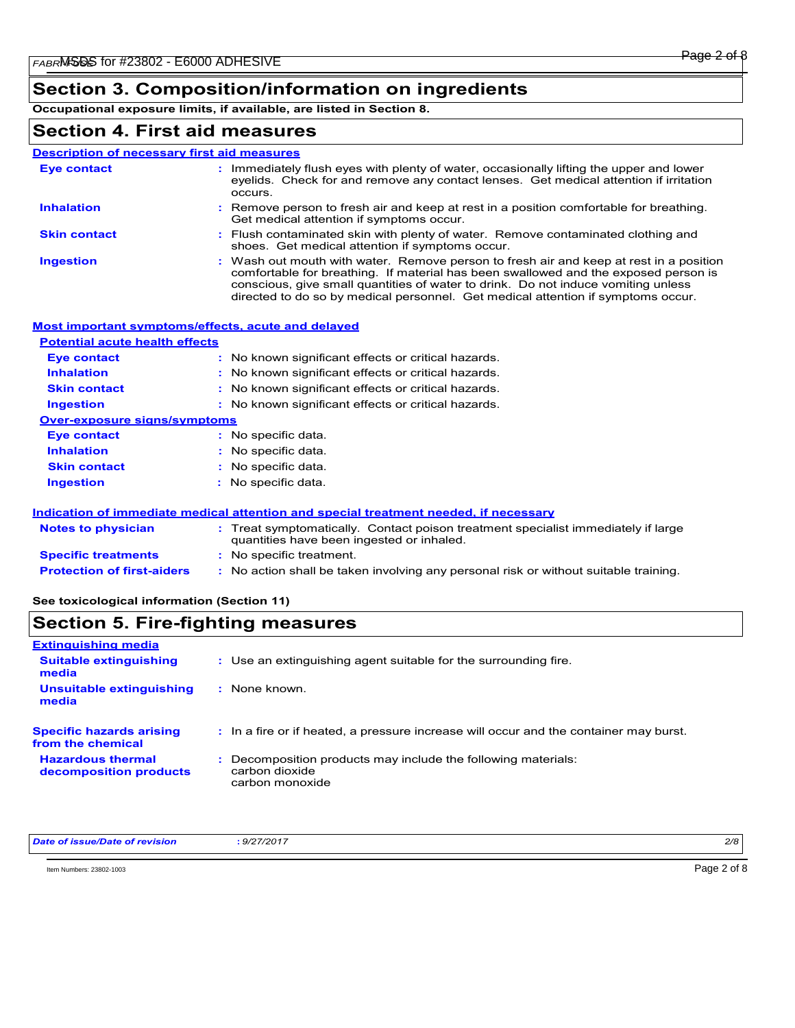### **Section 3. Composition/information on ingredients**

**Occupational exposure limits, if available, are listed in Section 8.**

### **Section 4. First aid measures**

| <b>Description of necessary first aid measures</b>      |                                                                                                                                                                                                                                                                                                                                                      |
|---------------------------------------------------------|------------------------------------------------------------------------------------------------------------------------------------------------------------------------------------------------------------------------------------------------------------------------------------------------------------------------------------------------------|
| <b>Eye contact</b>                                      | Immediately flush eyes with plenty of water, occasionally lifting the upper and lower<br>eyelids. Check for and remove any contact lenses. Get medical attention if irritation<br>occurs.                                                                                                                                                            |
| <b>Inhalation</b>                                       | Remove person to fresh air and keep at rest in a position comfortable for breathing.<br>Get medical attention if symptoms occur.                                                                                                                                                                                                                     |
| <b>Skin contact</b>                                     | Flush contaminated skin with plenty of water. Remove contaminated clothing and<br>shoes. Get medical attention if symptoms occur.                                                                                                                                                                                                                    |
| <b>Ingestion</b>                                        | Wash out mouth with water. Remove person to fresh air and keep at rest in a position<br>comfortable for breathing. If material has been swallowed and the exposed person is<br>conscious, give small quantities of water to drink. Do not induce vomiting unless<br>directed to do so by medical personnel. Get medical attention if symptoms occur. |
| <b>Potential acute health effects</b>                   | <b>Most important symptoms/effects, acute and delayed</b>                                                                                                                                                                                                                                                                                            |
| <b>Eye contact</b>                                      | No known significant effects or critical hazards.                                                                                                                                                                                                                                                                                                    |
| <b>Inhalation</b>                                       | No known significant effects or critical hazards.                                                                                                                                                                                                                                                                                                    |
| <b>Skin contact</b>                                     |                                                                                                                                                                                                                                                                                                                                                      |
|                                                         | No known significant effects or critical hazards.                                                                                                                                                                                                                                                                                                    |
| <b>Ingestion</b><br><b>Over-exposure signs/symptoms</b> | : No known significant effects or critical hazards.                                                                                                                                                                                                                                                                                                  |
|                                                         | : No specific data.                                                                                                                                                                                                                                                                                                                                  |
| <b>Eye contact</b><br><b>Inhalation</b>                 | No specific data.                                                                                                                                                                                                                                                                                                                                    |
|                                                         |                                                                                                                                                                                                                                                                                                                                                      |
| <b>Skin contact</b>                                     | No specific data.                                                                                                                                                                                                                                                                                                                                    |
| <b>Ingestion</b>                                        | : No specific data.                                                                                                                                                                                                                                                                                                                                  |
|                                                         | Indication of immediate medical attention and special treatment needed, if necessary                                                                                                                                                                                                                                                                 |
| <b>Notes to physician</b>                               | : Treat symptomatically. Contact poison treatment specialist immediately if large                                                                                                                                                                                                                                                                    |

| Notes to physician                | $\colon$ Treat symptomatically. Contact poison treatment specialist immediately if large<br>quantities have been ingested or inhaled. |
|-----------------------------------|---------------------------------------------------------------------------------------------------------------------------------------|
| <b>Specific treatments</b>        | : No specific treatment.                                                                                                              |
| <b>Protection of first-aiders</b> | : No action shall be taken involving any personal risk or without suitable training.                                                  |

#### **See toxicological information (Section 11)**

#### **Section 5. Fire-fighting measures** Use an extinguishing agent suitable for the surrounding fire. **: Extinguishing media Suitable extinguishing media**

| $\blacksquare$<br>Unsuitable extinguishing<br>media  | : None known.                                                                                      |
|------------------------------------------------------|----------------------------------------------------------------------------------------------------|
| <b>Specific hazards arising</b><br>from the chemical | : In a fire or if heated, a pressure increase will occur and the container may burst.              |
| <b>Hazardous thermal</b><br>decomposition products   | : Decomposition products may include the following materials:<br>carbon dioxide<br>carbon monoxide |

| Dai<br>ומו | 700<br>- a/f<br>72U<br>the contract of the contract of the contract of the contract of the contract of the contract of the contract of | 2/8 |
|------------|----------------------------------------------------------------------------------------------------------------------------------------|-----|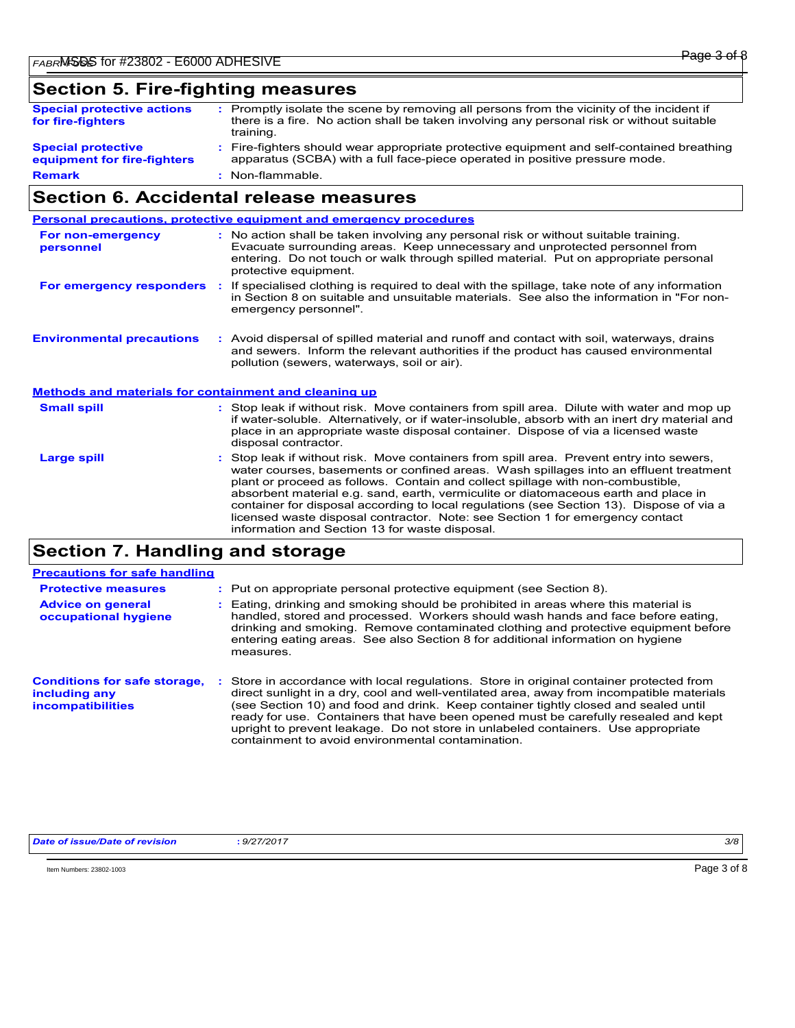## **Section 5. Fire-fighting measures**

| <b>Special protective actions</b><br>for fire-fighters   | : Promptly isolate the scene by removing all persons from the vicinity of the incident if<br>there is a fire. No action shall be taken involving any personal risk or without suitable<br>training. |
|----------------------------------------------------------|-----------------------------------------------------------------------------------------------------------------------------------------------------------------------------------------------------|
| <b>Special protective</b><br>equipment for fire-fighters | : Fire-fighters should wear appropriate protective equipment and self-contained breathing<br>apparatus (SCBA) with a full face-piece operated in positive pressure mode.                            |
| <b>Remark</b>                                            | : Non-flammable.                                                                                                                                                                                    |

### **Section 6. Accidental release measures**

|                                                              | Personal precautions, protective equipment and emergency procedures                                                                                                                                                                                                                                                                                                                                                                                                                                                                                                                      |
|--------------------------------------------------------------|------------------------------------------------------------------------------------------------------------------------------------------------------------------------------------------------------------------------------------------------------------------------------------------------------------------------------------------------------------------------------------------------------------------------------------------------------------------------------------------------------------------------------------------------------------------------------------------|
| For non-emergency<br>personnel                               | : No action shall be taken involving any personal risk or without suitable training.<br>Evacuate surrounding areas. Keep unnecessary and unprotected personnel from<br>entering. Do not touch or walk through spilled material. Put on appropriate personal<br>protective equipment.                                                                                                                                                                                                                                                                                                     |
| For emergency responders                                     | If specialised clothing is required to deal with the spillage, take note of any information<br>in Section 8 on suitable and unsuitable materials. See also the information in "For non-<br>emergency personnel".                                                                                                                                                                                                                                                                                                                                                                         |
| <b>Environmental precautions</b>                             | : Avoid dispersal of spilled material and runoff and contact with soil, waterways, drains<br>and sewers. Inform the relevant authorities if the product has caused environmental<br>pollution (sewers, waterways, soil or air).                                                                                                                                                                                                                                                                                                                                                          |
| <b>Methods and materials for containment and cleaning up</b> |                                                                                                                                                                                                                                                                                                                                                                                                                                                                                                                                                                                          |
| <b>Small spill</b>                                           | : Stop leak if without risk. Move containers from spill area. Dilute with water and mop up<br>if water-soluble. Alternatively, or if water-insoluble, absorb with an inert dry material and<br>place in an appropriate waste disposal container. Dispose of via a licensed waste<br>disposal contractor.                                                                                                                                                                                                                                                                                 |
| <b>Large spill</b>                                           | Stop leak if without risk. Move containers from spill area. Prevent entry into sewers,<br>water courses, basements or confined areas. Wash spillages into an effluent treatment<br>plant or proceed as follows. Contain and collect spillage with non-combustible,<br>absorbent material e.g. sand, earth, vermiculite or diatomaceous earth and place in<br>container for disposal according to local regulations (see Section 13). Dispose of via a<br>licensed waste disposal contractor. Note: see Section 1 for emergency contact<br>information and Section 13 for waste disposal. |
|                                                              |                                                                                                                                                                                                                                                                                                                                                                                                                                                                                                                                                                                          |

### **Section 7. Handling and storage**

| <b>Precautions for safe handling</b>                                             |                                                                                                                                                                                                                                                                                                                                                                                                                                                                                                             |
|----------------------------------------------------------------------------------|-------------------------------------------------------------------------------------------------------------------------------------------------------------------------------------------------------------------------------------------------------------------------------------------------------------------------------------------------------------------------------------------------------------------------------------------------------------------------------------------------------------|
| <b>Protective measures</b>                                                       | : Put on appropriate personal protective equipment (see Section 8).                                                                                                                                                                                                                                                                                                                                                                                                                                         |
| <b>Advice on general</b><br>occupational hygiene                                 | : Eating, drinking and smoking should be prohibited in areas where this material is<br>handled, stored and processed. Workers should wash hands and face before eating,<br>drinking and smoking. Remove contaminated clothing and protective equipment before<br>entering eating areas. See also Section 8 for additional information on hygiene<br>measures.                                                                                                                                               |
| <b>Conditions for safe storage,</b><br>including any<br><b>incompatibilities</b> | Store in accordance with local regulations. Store in original container protected from<br>direct sunlight in a dry, cool and well-ventilated area, away from incompatible materials<br>(see Section 10) and food and drink. Keep container tightly closed and sealed until<br>ready for use. Containers that have been opened must be carefully resealed and kept<br>upright to prevent leakage. Do not store in unlabeled containers. Use appropriate<br>containment to avoid environmental contamination. |

*Date of issue/Date of revision* **:** *9/27/2017 3/8*

Item Numbers: 23802-1003 Page 3 of 8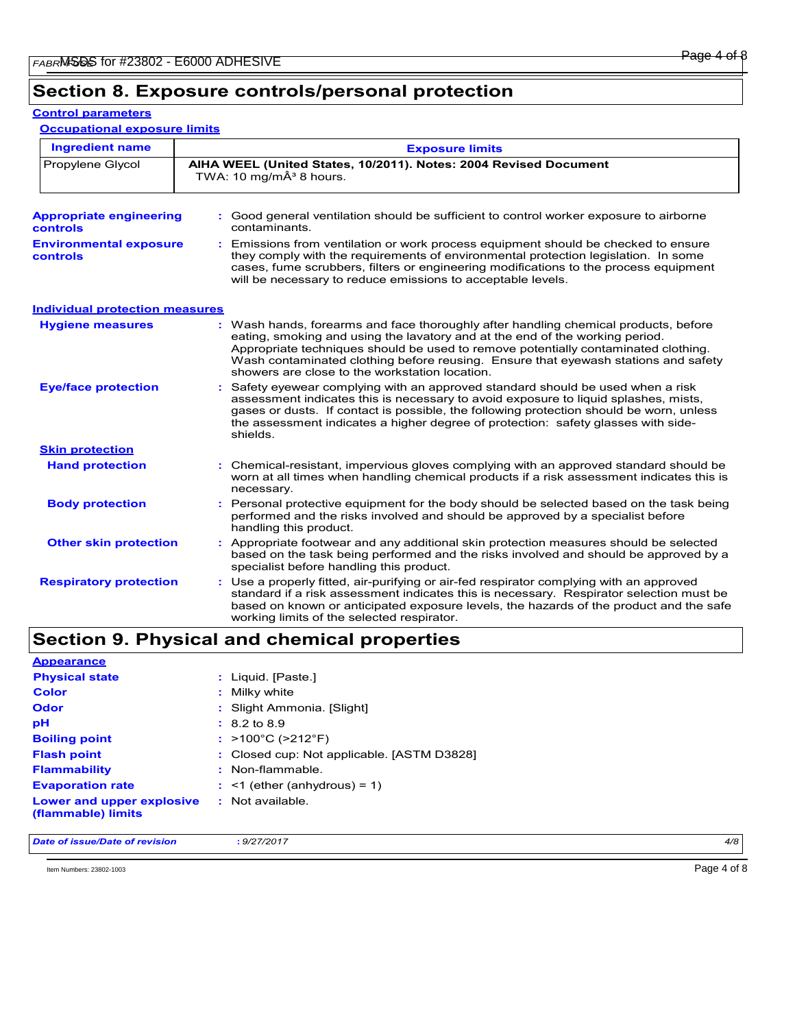#### **Control parameters**

**Occupational exposure limits**

| <b>Ingredient name</b>                     | <b>Exposure limits</b>                                                                                                                                                                                                                                                                                                                                                                            |  |  |
|--------------------------------------------|---------------------------------------------------------------------------------------------------------------------------------------------------------------------------------------------------------------------------------------------------------------------------------------------------------------------------------------------------------------------------------------------------|--|--|
| Propylene Glycol                           | AIHA WEEL (United States, 10/2011). Notes: 2004 Revised Document<br>TWA: 10 mg/m $\hat{A}^3$ 8 hours.                                                                                                                                                                                                                                                                                             |  |  |
| <b>Appropriate engineering</b><br>controls | : Good general ventilation should be sufficient to control worker exposure to airborne<br>contaminants.                                                                                                                                                                                                                                                                                           |  |  |
| <b>Environmental exposure</b><br>controls  | Emissions from ventilation or work process equipment should be checked to ensure<br>they comply with the requirements of environmental protection legislation. In some<br>cases, fume scrubbers, filters or engineering modifications to the process equipment<br>will be necessary to reduce emissions to acceptable levels.                                                                     |  |  |
| <b>Individual protection measures</b>      |                                                                                                                                                                                                                                                                                                                                                                                                   |  |  |
| <b>Hygiene measures</b>                    | : Wash hands, forearms and face thoroughly after handling chemical products, before<br>eating, smoking and using the lavatory and at the end of the working period.<br>Appropriate techniques should be used to remove potentially contaminated clothing.<br>Wash contaminated clothing before reusing. Ensure that eyewash stations and safety<br>showers are close to the workstation location. |  |  |
| <b>Eye/face protection</b>                 | Safety eyewear complying with an approved standard should be used when a risk<br>assessment indicates this is necessary to avoid exposure to liquid splashes, mists,<br>gases or dusts. If contact is possible, the following protection should be worn, unless<br>the assessment indicates a higher degree of protection: safety glasses with side-<br>shields.                                  |  |  |
| <b>Skin protection</b>                     |                                                                                                                                                                                                                                                                                                                                                                                                   |  |  |
| <b>Hand protection</b>                     | : Chemical-resistant, impervious gloves complying with an approved standard should be<br>worn at all times when handling chemical products if a risk assessment indicates this is<br>necessary.                                                                                                                                                                                                   |  |  |
| <b>Body protection</b>                     | : Personal protective equipment for the body should be selected based on the task being<br>performed and the risks involved and should be approved by a specialist before<br>handling this product.                                                                                                                                                                                               |  |  |
| <b>Other skin protection</b>               | : Appropriate footwear and any additional skin protection measures should be selected<br>based on the task being performed and the risks involved and should be approved by a<br>specialist before handling this product.                                                                                                                                                                         |  |  |
| <b>Respiratory protection</b>              | Use a properly fitted, air-purifying or air-fed respirator complying with an approved<br>÷.<br>standard if a risk assessment indicates this is necessary. Respirator selection must be<br>based on known or anticipated exposure levels, the hazards of the product and the safe<br>working limits of the selected respirator.                                                                    |  |  |

# **Section 9. Physical and chemical properties**

| <b>Appearance</b>                               |                                            |
|-------------------------------------------------|--------------------------------------------|
| <b>Physical state</b>                           | : Liquid. [Paste.]                         |
| <b>Color</b>                                    | : Milky white                              |
| Odor                                            | : Slight Ammonia. [Slight]                 |
| pH                                              | $: 8.2 \text{ to } 8.9$                    |
| <b>Boiling point</b>                            | : $>100^{\circ}$ C ( $>212^{\circ}$ F)     |
| <b>Flash point</b>                              | : Closed cup: Not applicable. [ASTM D3828] |
| <b>Flammability</b>                             | : Non-flammable.                           |
| <b>Evaporation rate</b>                         | $:$ <1 (ether (anhydrous) = 1)             |
| Lower and upper explosive<br>(flammable) limits | : Not available.                           |

*Date of issue/Date of revision* **:** *9/27/2017 4/8*

Item Numbers: 23802-1003 Page 4 of 8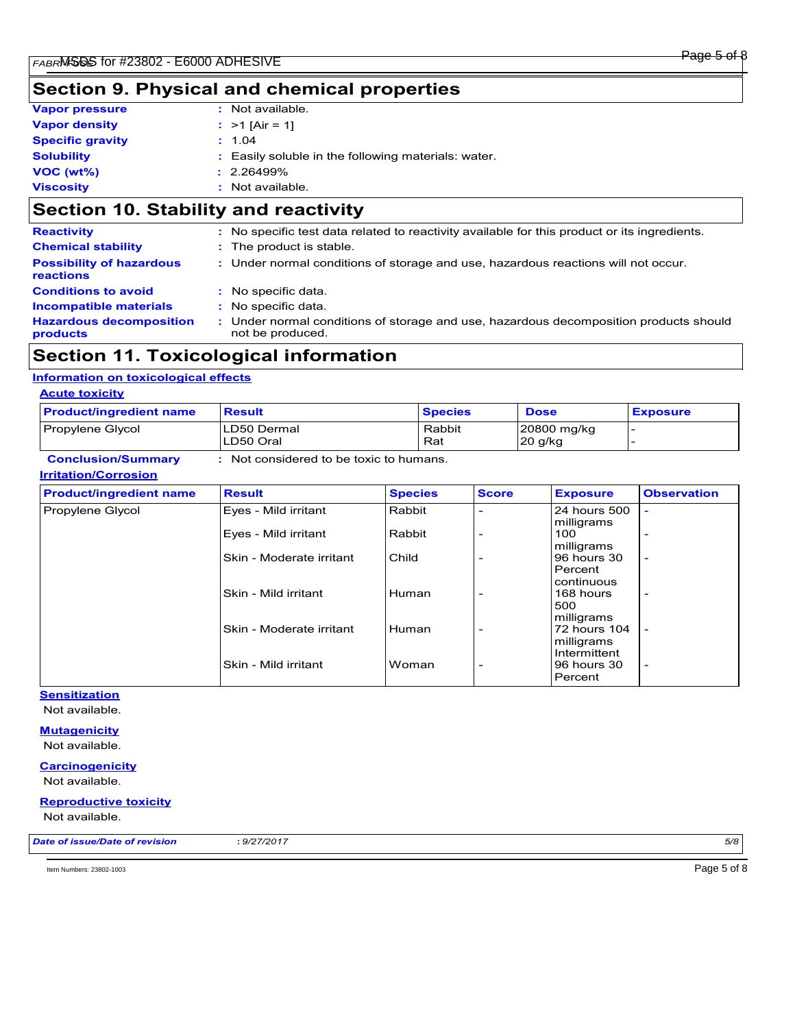# **Section 9. Physical and chemical properties**

| <b>Vapor pressure</b>   | : Not available.                                    |
|-------------------------|-----------------------------------------------------|
| <b>Vapor density</b>    | : $>1$ [Air = 1]                                    |
| <b>Specific gravity</b> | : 1.04                                              |
| <b>Solubility</b>       | : Easily soluble in the following materials: water. |
| $VOC (wt\%)$            | $: 2.26499\%$                                       |
| <b>Viscosity</b>        | : Not available.                                    |

## **Section 10. Stability and reactivity**

| <b>Reactivity</b>                                   | : No specific test data related to reactivity available for this product or its ingredients.            |
|-----------------------------------------------------|---------------------------------------------------------------------------------------------------------|
| <b>Chemical stability</b>                           | : The product is stable.                                                                                |
| <b>Possibility of hazardous</b><br><b>reactions</b> | : Under normal conditions of storage and use, hazardous reactions will not occur.                       |
| <b>Conditions to avoid</b>                          | : No specific data.                                                                                     |
| <b>Incompatible materials</b>                       | : No specific data.                                                                                     |
| <b>Hazardous decomposition</b><br>products          | Under normal conditions of storage and use, hazardous decomposition products should<br>not be produced. |

### **Section 11. Toxicological information**

#### **Information on toxicological effects**

#### **Acute toxicity**

| <b>Product/ingredient name</b> | <b>Result</b>                           |                | <b>Species</b> |                          | <b>Dose</b> |                                          | <b>Exposure</b>          |
|--------------------------------|-----------------------------------------|----------------|----------------|--------------------------|-------------|------------------------------------------|--------------------------|
| Propylene Glycol               | LD50 Dermal<br>LD50 Oral                |                | Rabbit<br>Rat  |                          | 20 g/kg     | 20800 mg/kg                              |                          |
| <b>Conclusion/Summary</b>      | : Not considered to be toxic to humans. |                |                |                          |             |                                          |                          |
| <b>Irritation/Corrosion</b>    |                                         |                |                |                          |             |                                          |                          |
| <b>Product/ingredient name</b> | <b>Result</b>                           | <b>Species</b> |                | <b>Score</b>             |             | <b>Exposure</b>                          | <b>Observation</b>       |
| Propylene Glycol               | Eyes - Mild irritant                    | Rabbit         |                |                          |             | 24 hours 500<br>milligrams               |                          |
|                                | Eyes - Mild irritant                    | Rabbit         |                |                          |             | 100<br>milligrams                        |                          |
|                                | Skin - Moderate irritant                | Child          |                |                          |             | 96 hours 30<br>Percent                   |                          |
|                                | Skin - Mild irritant                    | Human          |                | $\overline{\phantom{a}}$ |             | continuous<br>168 hours<br>500           | ٠                        |
|                                | Skin - Moderate irritant                | Human          |                |                          |             | milligrams<br>72 hours 104<br>milligrams |                          |
|                                | Skin - Mild irritant                    | Woman          |                | $\overline{\phantom{a}}$ |             | Intermittent<br>96 hours 30<br>Percent   | $\overline{\phantom{0}}$ |

#### **Sensitization**

Not available.

#### **Mutagenicity** Not available.

#### **Carcinogenicity**

Not available.

#### **Reproductive toxicity**

Not available.

*Date of issue/Date of revision* **:** *9/27/2017 5/8*

Item Numbers: 23802-1003 Page 5 of 8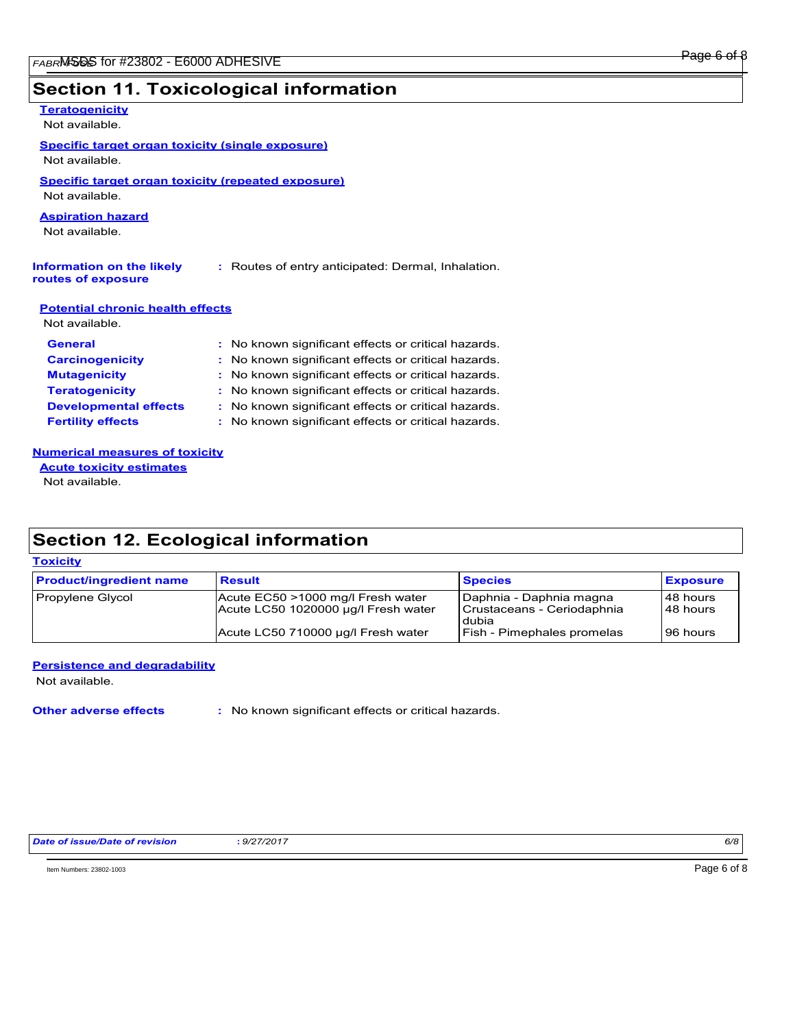# **Section 11. Toxicological information**

| <b>Teratogenicity</b>                                   |                                                     |  |
|---------------------------------------------------------|-----------------------------------------------------|--|
| Not available.                                          |                                                     |  |
| <b>Specific target organ toxicity (single exposure)</b> |                                                     |  |
| Not available.                                          |                                                     |  |
| Specific target organ toxicity (repeated exposure)      |                                                     |  |
| Not available.                                          |                                                     |  |
| <b>Aspiration hazard</b>                                |                                                     |  |
| Not available.                                          |                                                     |  |
|                                                         |                                                     |  |
| Information on the likely<br>routes of exposure         | : Routes of entry anticipated: Dermal, Inhalation.  |  |
| <b>Potential chronic health effects</b>                 |                                                     |  |
| Not available.                                          |                                                     |  |
| <b>General</b>                                          | : No known significant effects or critical hazards. |  |
| <b>Carcinogenicity</b>                                  | : No known significant effects or critical hazards. |  |
| <b>Mutagenicity</b>                                     | : No known significant effects or critical hazards. |  |
| <b>Teratogenicity</b>                                   | No known significant effects or critical hazards.   |  |
| <b>Developmental effects</b>                            | : No known significant effects or critical hazards. |  |
| <b>Fertility effects</b>                                | No known significant effects or critical hazards.   |  |
| <b>Numerical measures of toxicity</b>                   |                                                     |  |
| <b>Acute toxicity estimates</b>                         |                                                     |  |

Not available.

# **Section 12. Ecological information**

#### **Toxicity**

| <b>Product/ingredient name</b> | <b>Result</b>                                                            | <b>Species</b>                                                 | <b>Exposure</b>          |
|--------------------------------|--------------------------------------------------------------------------|----------------------------------------------------------------|--------------------------|
| Propylene Glycol               | Acute EC50 >1000 mg/l Fresh water<br>Acute LC50 1020000 ug/l Fresh water | Daphnia - Daphnia magna<br>Crustaceans - Ceriodaphnia<br>dubia | l 48 hours<br>l 48 hours |
|                                | Acute LC50 710000 ug/l Fresh water                                       | Fish - Pimephales promelas                                     | 96 hours                 |

#### **Persistence and degradability**

Not available.

**Other adverse effects** : No known significant effects or critical hazards.

Item Numbers: 23802-1003 Page 6 of 8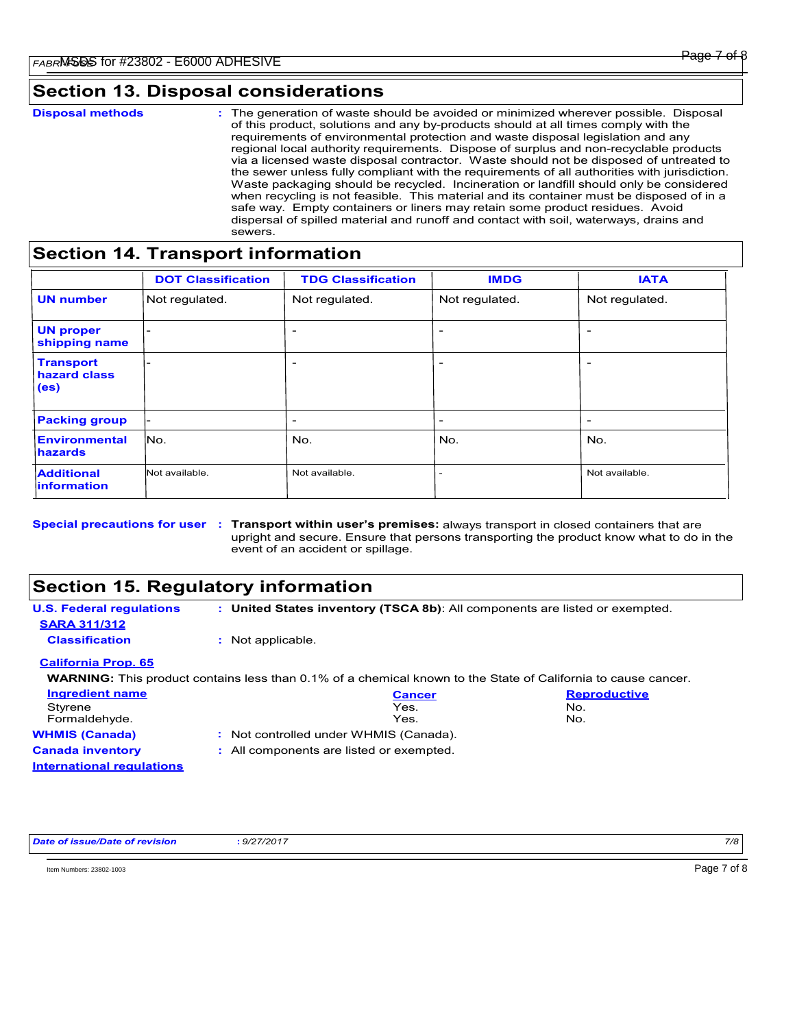### **Section 13. Disposal considerations**

|  | <b>Disposal methods</b> |  |
|--|-------------------------|--|

**Disposal methods** : The generation of waste should be avoided or minimized wherever possible. Disposal of this product, solutions and any by-products should at all times comply with the requirements of environmental protection and waste disposal legislation and any regional local authority requirements. Dispose of surplus and non-recyclable products via a licensed waste disposal contractor. Waste should not be disposed of untreated to the sewer unless fully compliant with the requirements of all authorities with jurisdiction. Waste packaging should be recycled. Incineration or landfill should only be considered when recycling is not feasible. This material and its container must be disposed of in a safe way. Empty containers or liners may retain some product residues. Avoid dispersal of spilled material and runoff and contact with soil, waterways, drains and sewers.

### **Section 14. Transport information**

|                                                       | <b>DOT Classification</b> | <b>TDG Classification</b> | <b>IMDG</b>              | <b>IATA</b>              |
|-------------------------------------------------------|---------------------------|---------------------------|--------------------------|--------------------------|
| <b>UN number</b>                                      | Not regulated.            | Not regulated.            | Not regulated.           | Not regulated.           |
| <b>UN proper</b><br>shipping name                     |                           | $\overline{\phantom{a}}$  | $\overline{\phantom{a}}$ |                          |
| <b>Transport</b><br>hazard class<br>(e <sub>s</sub> ) |                           | $\overline{\phantom{0}}$  | $\overline{\phantom{0}}$ |                          |
| <b>Packing group</b>                                  |                           | -                         | $\overline{\phantom{a}}$ | $\overline{\phantom{0}}$ |
| <b>Environmental</b><br>hazards                       | lNo.                      | No.                       | No.                      | No.                      |
| <b>Additional</b><br><i>information</i>               | Not available.            | Not available.            |                          | Not available.           |

Special precautions for user : Transport within user's premises: always transport in closed containers that are upright and secure. Ensure that persons transporting the product know what to do in the event of an accident or spillage.

### **Section 15. Regulatory information**

**U.S. Federal regulations WARNING:** This product contains less than 0.1% of a chemical known to the State of California to cause cancer. **: United States inventory (TSCA 8b)**: All components are listed or exempted. **California Prop. 65 SARA 311/312 Classification :** Not applicable. Styrene **No.** No. 2008 **No. 2008** No. 2008 No. 2008 No. 2008 No. 2008 No. 2009 No. 2009 No. 2009 No. **Ingredient name Cancer Reproductive**

| <b>00000000000000</b>     | .                                        | .   |  |
|---------------------------|------------------------------------------|-----|--|
| Formaldehyde.             | Yes.                                     | No. |  |
| <b>WHMIS (Canada)</b>     | : Not controlled under WHMIS (Canada).   |     |  |
| <b>Canada inventory</b>   | : All components are listed or exempted. |     |  |
| International regulations |                                          |     |  |

*Date of issue/Date of revision* **:** *9/27/2017 7/8*

 $\blacksquare$  Numbers: 23802-1003  $\blacksquare$   $\blacksquare$   $\blacksquare$   $\blacksquare$   $\blacksquare$   $\blacksquare$   $\blacksquare$   $\blacksquare$   $\blacksquare$   $\blacksquare$   $\blacksquare$   $\blacksquare$   $\blacksquare$   $\blacksquare$   $\blacksquare$   $\blacksquare$   $\blacksquare$   $\blacksquare$   $\blacksquare$   $\blacksquare$   $\blacksquare$   $\blacksquare$   $\blacksquare$   $\blacksquare$   $\blacksquare$   $\blacksquare$   $\blacksquare$   $\blacksquare$